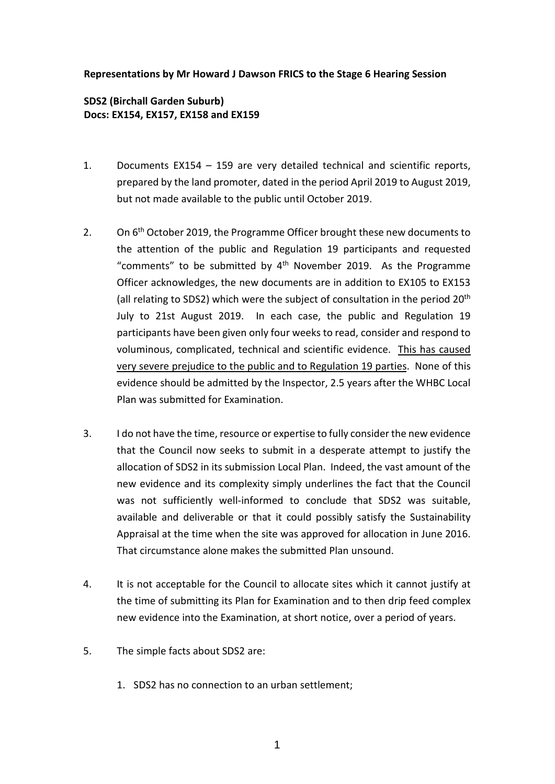## **Representations by Mr Howard J Dawson FRICS to the Stage 6 Hearing Session**

## **SDS2 (Birchall Garden Suburb) Docs: EX154, EX157, EX158 and EX159**

- 1. Documents EX154 159 are very detailed technical and scientific reports, prepared by the land promoter, dated in the period April 2019 to August 2019, but not made available to the public until October 2019.
- 2. On  $6<sup>th</sup>$  October 2019, the Programme Officer brought these new documents to the attention of the public and Regulation 19 participants and requested "comments" to be submitted by  $4<sup>th</sup>$  November 2019. As the Programme Officer acknowledges, the new documents are in addition to EX105 to EX153 (all relating to SDS2) which were the subject of consultation in the period 20<sup>th</sup> July to 21st August 2019. In each case, the public and Regulation 19 participants have been given only four weeks to read, consider and respond to voluminous, complicated, technical and scientific evidence. This has caused very severe prejudice to the public and to Regulation 19 parties. None of this evidence should be admitted by the Inspector, 2.5 years after the WHBC Local Plan was submitted for Examination.
- 3. I do not have the time, resource or expertise to fully consider the new evidence that the Council now seeks to submit in a desperate attempt to justify the allocation of SDS2 in its submission Local Plan. Indeed, the vast amount of the new evidence and its complexity simply underlines the fact that the Council was not sufficiently well-informed to conclude that SDS2 was suitable, available and deliverable or that it could possibly satisfy the Sustainability Appraisal at the time when the site was approved for allocation in June 2016. That circumstance alone makes the submitted Plan unsound.
- 4. It is not acceptable for the Council to allocate sites which it cannot justify at the time of submitting its Plan for Examination and to then drip feed complex new evidence into the Examination, at short notice, over a period of years.
- 5. The simple facts about SDS2 are:
	- 1. SDS2 has no connection to an urban settlement;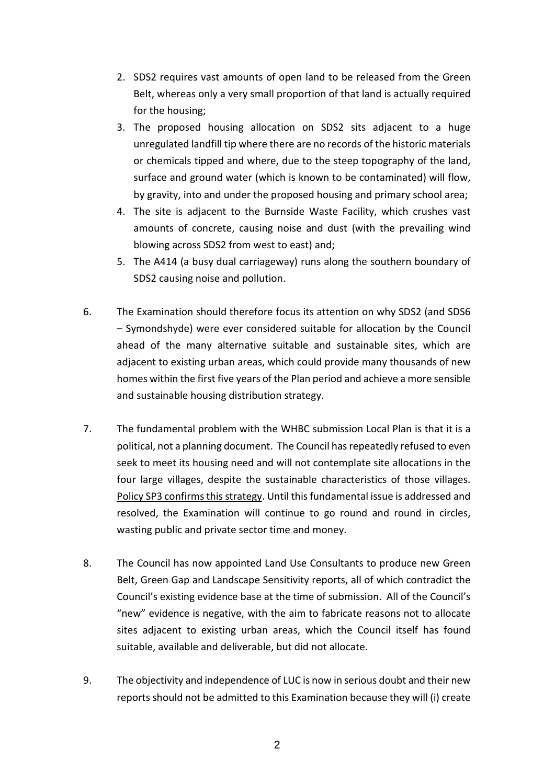- 2. SDS2 requires vast amounts of open land to be released from the Green Belt, whereas only a very small proportion of that land is actually required for the housing;
- 3. The proposed housing allocation on SDS2 sits adjacent to a huge unregulated landfill tip where there are no records of the historic materials or chemicals tipped and where, due to the steep topography of the land, surface and ground water (which is known to be contaminated) will flow, by gravity, into and under the proposed housing and primary school area;
- 4. The site is adjacent to the Burnside Waste Facility, which crushes vast amounts of concrete, causing noise and dust (with the prevailing wind blowing across SDS2 from west to east) and;
- 5. The A414 (a busy dual carriageway) runs along the southern boundary of SDS2 causing noise and pollution.
- 6. The Examination should therefore focus its attention on why SDS2 (and SDS6 – Symondshyde) were ever considered suitable for allocation by the Council ahead of the many alternative suitable and sustainable sites, which are adjacent to existing urban areas, which could provide many thousands of new homes within the first five years of the Plan period and achieve a more sensible and sustainable housing distribution strategy.
- 7. The fundamental problem with the WHBC submission Local Plan is that it is a political, not a planning document. The Council has repeatedly refused to even seek to meet its housing need and will not contemplate site allocations in the four large villages, despite the sustainable characteristics of those villages. Policy SP3 confirms this strategy. Until this fundamental issue is addressed and resolved, the Examination will continue to go round and round in circles, wasting public and private sector time and money.
- 8. The Council has now appointed Land Use Consultants to produce new Green Belt, Green Gap and Landscape Sensitivity reports, all of which contradict the Council's existing evidence base at the time of submission. All of the Council's "new" evidence is negative, with the aim to fabricate reasons not to allocate sites adjacent to existing urban areas, which the Council itself has found suitable, available and deliverable, but did not allocate.
- 9. The objectivity and independence of LUC is now in serious doubt and their new reports should not be admitted to this Examination because they will (i) create